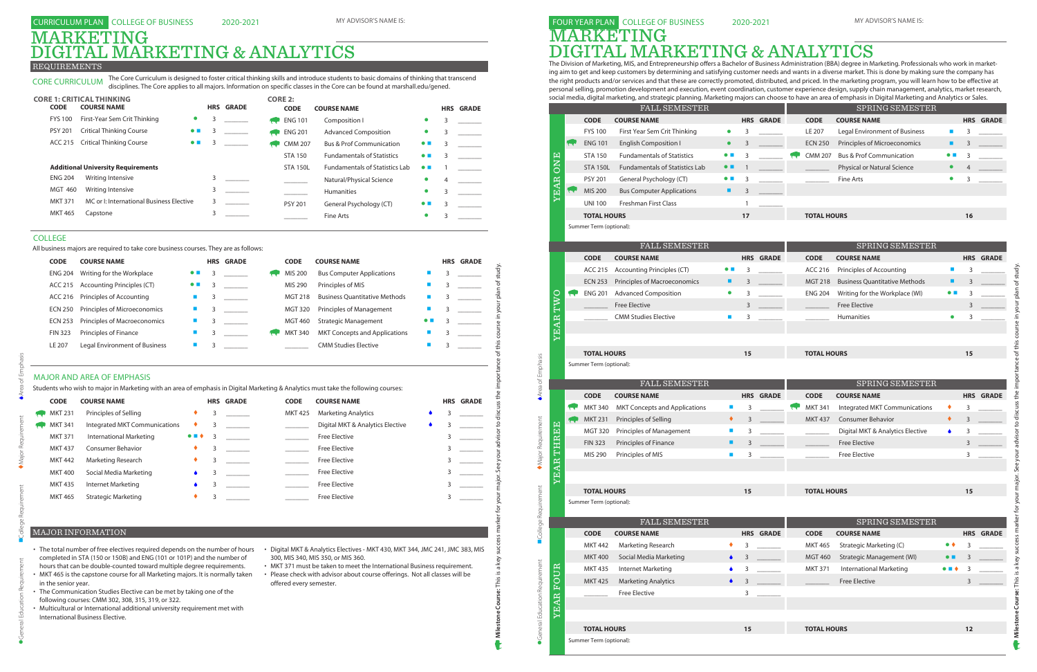The Division of Marketing, MIS, and Entrepreneurship offers a Bachelor of Business Administration (BBA) degree in Marketing. Professionals who work in marketing aim to get and keep customers by determining and satisfying customer needs and wants in a diverse market. This is done by making sure the company has the right products and/or services and that these are correctly promoted, distributed, and priced. In the marketing program, you will learn how to be effective at personal selling, promotion development and execution, event coordination, customer experience design, supply chain management, analytics, market research, social media, digital marketing, and strategic planning. Marketing majors can choose to have an area of emphasis in Digital Marketing and Analytics or Sales.

FOUR YEAR PLAN COLLEGE OF BUSINESS MARKETING DIGITAL MARKETING & ANALYTICS

# MARKETING REQUIREMENTS **GITAL MARKETING & ANALYTICS**

|                          |            |                         | <b>FALL SEMESTER</b>                  |                             |            |                  |                    | SPRING SEMESTER                      |                             |                  |  |
|--------------------------|------------|-------------------------|---------------------------------------|-----------------------------|------------|------------------|--------------------|--------------------------------------|-----------------------------|------------------|--|
|                          |            | <b>CODE</b>             | <b>COURSE NAME</b>                    |                             |            | <b>HRS GRADE</b> | <b>CODE</b>        | <b>COURSE NAME</b>                   |                             | <b>HRS GRADE</b> |  |
|                          |            | <b>FYS 100</b>          | First Year Sem Crit Thinking          | $\bullet$                   | 3          |                  | LE 207             | Legal Environment of Business        | П                           | 3                |  |
|                          |            | <b>ENG 101</b>          | <b>English Composition I</b>          | $\bullet$                   | 3          |                  | <b>ECN 250</b>     | Principles of Microeconomics         | ш                           | 3                |  |
|                          |            | <b>STA 150</b>          | <b>Fundamentals of Statistics</b>     | $\bullet$ $\blacksquare$    | 3          |                  | <b>CMM 207</b>     | <b>Bus &amp; Prof Communication</b>  | $\bullet\ \blacksquare$     | 3                |  |
| <b>ONE</b>               |            | <b>STA 150L</b>         | <b>Fundamentals of Statistics Lab</b> | $\bullet\ \blacksquare$     |            |                  |                    | Physical or Natural Science          | $\bullet$                   |                  |  |
|                          |            | <b>PSY 201</b>          | General Psychology (CT)               | $\bullet\ \blacksquare$     | 3          |                  |                    | <b>Fine Arts</b>                     | $\bullet$                   | 3                |  |
| <b>YEAR</b>              |            | MIS 200                 | <b>Bus Computer Applications</b>      | ٠                           | 3          |                  |                    |                                      |                             |                  |  |
|                          |            | <b>UNI 100</b>          | <b>Freshman First Class</b>           |                             | 1          |                  |                    |                                      |                             |                  |  |
|                          |            | <b>TOTAL HOURS</b>      |                                       |                             | 17         |                  | <b>TOTAL HOURS</b> |                                      |                             | 16               |  |
|                          |            | Summer Term (optional): |                                       |                             |            |                  |                    |                                      |                             |                  |  |
|                          |            |                         |                                       |                             |            |                  |                    |                                      |                             |                  |  |
|                          |            |                         | FALL SEMESTER                         |                             |            |                  |                    | SPRING SEMESTER                      |                             |                  |  |
|                          |            | <b>CODE</b>             | <b>COURSE NAME</b>                    |                             |            | <b>HRS GRADE</b> | <b>CODE</b>        | <b>COURSE NAME</b>                   |                             | <b>HRS GRADE</b> |  |
|                          |            | ACC 215                 | <b>Accounting Principles (CT)</b>     | $\bullet$ $\blacksquare$    | 3          |                  | ACC 216            | Principles of Accounting             | $\mathcal{L}_{\mathcal{A}}$ | 3                |  |
|                          |            | <b>ECN 253</b>          | Principles of Macroeconomics          | ٠                           | 3          |                  | <b>MGT 218</b>     | <b>Business Quantitative Methods</b> | ٠                           | 3                |  |
| TWO                      | <b>Rev</b> | <b>ENG 201</b>          | <b>Advanced Composition</b>           | $\bullet$                   | 3          |                  | <b>ENG 204</b>     | Writing for the Workplace (WI)       | $\bullet$ $\blacksquare$    | 3                |  |
|                          |            |                         | <b>Free Elective</b>                  |                             | 3          |                  |                    | <b>Free Elective</b>                 |                             | 3                |  |
|                          |            |                         | <b>CMM Studies Elective</b>           | $\mathcal{L}_{\mathcal{A}}$ | 3          |                  |                    | <b>Humanities</b>                    | $\bullet$                   | 3                |  |
| <b>YEAR</b>              |            |                         |                                       |                             |            |                  |                    |                                      |                             |                  |  |
|                          |            | <b>TOTAL HOURS</b>      |                                       |                             | 15         |                  | <b>TOTAL HOURS</b> |                                      |                             | 15               |  |
|                          |            | Summer Term (optional): |                                       |                             |            |                  |                    |                                      |                             |                  |  |
|                          |            |                         |                                       |                             |            |                  |                    |                                      |                             |                  |  |
|                          |            |                         | <b>FALL SEMESTER</b>                  |                             |            |                  |                    | SPRING SEMESTER                      |                             |                  |  |
|                          |            | <b>CODE</b>             | <b>COURSE NAME</b>                    |                             | <b>HRS</b> | <b>GRADE</b>     | <b>CODE</b>        | <b>COURSE NAME</b>                   |                             | <b>HRS GRADE</b> |  |
| k.                       |            |                         |                                       |                             |            |                  |                    |                                      |                             |                  |  |
|                          |            | <b>MKT 340</b>          | <b>MKT Concepts and Applications</b>  | a,                          | 3          |                  | <b>MKT 341</b>     | Integrated MKT Communications        | ٠                           | 3                |  |
|                          | रप         | <b>MKT 231</b>          | Principles of Selling                 | ٠                           | 3          |                  | <b>MKT 437</b>     | <b>Consumer Behavior</b>             | ٠                           | 3                |  |
|                          |            | <b>MGT 320</b>          | <b>Principles of Management</b>       | $\mathcal{L}_{\mathcal{A}}$ | 3          |                  |                    | Digital MKT & Analytics Elective     | ۰                           | 3                |  |
|                          |            | <b>FIN 323</b>          | Principles of Finance                 | ٠                           | 3          |                  |                    | <b>Free Elective</b>                 |                             | 3                |  |
|                          |            | MIS 290                 | Principles of MIS                     | $\blacksquare$              | 3          |                  |                    | <b>Free Elective</b>                 |                             | 3                |  |
|                          |            |                         |                                       |                             |            |                  |                    |                                      |                             |                  |  |
| THREE<br><b>EAR</b><br>Σ |            |                         |                                       |                             |            |                  |                    |                                      |                             |                  |  |
|                          |            | <b>TOTAL HOURS</b>      |                                       |                             | 15         |                  | <b>TOTAL HOURS</b> |                                      |                             | 15               |  |
|                          |            | Summer Term (optional): |                                       |                             |            |                  |                    |                                      |                             |                  |  |
|                          |            |                         | <b>FALL SEMESTER</b>                  |                             |            |                  |                    | SPRING SEMESTER                      |                             |                  |  |
|                          |            | <b>CODE</b>             | <b>COURSE NAME</b>                    |                             |            | <b>HRS GRADE</b> | <b>CODE</b>        | <b>COURSE NAME</b>                   |                             | <b>HRS GRADE</b> |  |
|                          |            | <b>MKT 442</b>          | Marketing Research                    | ٠                           | 3          |                  | <b>MKT 465</b>     | Strategic Marketing (C)              | $\bullet\bullet$            | 3                |  |
|                          |            | <b>MKT 400</b>          | Social Media Marketing                | ۰                           | 3          |                  | <b>MGT 460</b>     | <b>Strategic Management (WI)</b>     |                             |                  |  |
|                          |            | <b>MKT 435</b>          | Internet Marketing                    |                             | 3          |                  | <b>MKT 371</b>     | International Marketing              |                             | 3                |  |
| UR                       |            | <b>MKT 425</b>          | <b>Marketing Analytics</b>            | ۵                           | 3          |                  |                    | <b>Free Elective</b>                 |                             | 3                |  |
| .<br>EO                  |            |                         | <b>Free Elective</b>                  |                             | 3          |                  |                    |                                      |                             |                  |  |
|                          |            |                         |                                       |                             |            |                  |                    |                                      |                             |                  |  |
| <b>YEAR</b>              |            |                         |                                       |                             |            |                  |                    |                                      |                             |                  |  |

| <b>CODE</b>    | <b>COURSE NAME</b>            |                       |   | <b>HRS GRADE</b> | <b>CODE</b>    | <b>COURSE NAME</b>               |  | <b>HRS GRADE</b> |
|----------------|-------------------------------|-----------------------|---|------------------|----------------|----------------------------------|--|------------------|
| <b>MKT 231</b> | Principles of Selling         |                       | 3 |                  | <b>MKT 425</b> | <b>Marketing Analytics</b>       |  |                  |
| <b>MKT 341</b> | Integrated MKT Communications | ٠                     | 3 |                  |                | Digital MKT & Analytics Elective |  |                  |
| <b>MKT 371</b> | International Marketing       | $\bullet$ . $\bullet$ | 3 |                  |                | <b>Free Elective</b>             |  |                  |
| <b>MKT 437</b> | <b>Consumer Behavior</b>      | ٠                     |   |                  |                | <b>Free Elective</b>             |  |                  |
| <b>MKT 442</b> | Marketing Research            |                       | 3 |                  |                | <b>Free Elective</b>             |  |                  |
| <b>MKT 400</b> | Social Media Marketing        |                       |   |                  |                | <b>Free Elective</b>             |  |                  |
| <b>MKT 435</b> | Internet Marketing            |                       |   |                  |                | <b>Free Elective</b>             |  |                  |
| <b>MKT 465</b> | <b>Strategic Marketing</b>    |                       |   |                  |                | <b>Free Elective</b>             |  |                  |

| <b>CODE</b>         | <b>COURSE NAME</b>                                                                                                                                                                                                                                                                                                                                                                                                                                                                                                                                                                      |                          |                | <b>HRS GRADE</b> | <b>CODE</b>             | <b>COURSE NAME</b>                                                                                                                                                                                                                                                            |   |   | <b>HRS GRADE</b> |
|---------------------|-----------------------------------------------------------------------------------------------------------------------------------------------------------------------------------------------------------------------------------------------------------------------------------------------------------------------------------------------------------------------------------------------------------------------------------------------------------------------------------------------------------------------------------------------------------------------------------------|--------------------------|----------------|------------------|-------------------------|-------------------------------------------------------------------------------------------------------------------------------------------------------------------------------------------------------------------------------------------------------------------------------|---|---|------------------|
| <b>ENG 204</b>      | Writing for the Workplace                                                                                                                                                                                                                                                                                                                                                                                                                                                                                                                                                               | $\bullet$ $\blacksquare$ | 3              |                  | <b>MIS 200</b>          | <b>Bus Computer Applications</b>                                                                                                                                                                                                                                              |   | 3 |                  |
| ACC 215             | <b>Accounting Principles (CT)</b>                                                                                                                                                                                                                                                                                                                                                                                                                                                                                                                                                       | $\bullet\ \blacksquare$  | 3              |                  | MIS 290                 | Principles of MIS                                                                                                                                                                                                                                                             |   | 3 |                  |
| <b>ACC 216</b>      | Principles of Accounting                                                                                                                                                                                                                                                                                                                                                                                                                                                                                                                                                                | П                        | 3              |                  | <b>MGT 218</b>          | <b>Business Ouantitative Methods</b>                                                                                                                                                                                                                                          | п | 3 |                  |
| <b>ECN 250</b>      | Principles of Microeconomics                                                                                                                                                                                                                                                                                                                                                                                                                                                                                                                                                            | $\blacksquare$           | 3              |                  | <b>MGT 320</b>          | Principles of Management                                                                                                                                                                                                                                                      | ш | 3 |                  |
| <b>ECN 253</b>      | Principles of Macroeconomics                                                                                                                                                                                                                                                                                                                                                                                                                                                                                                                                                            | $\blacksquare$           | 3              |                  | <b>MGT 460</b>          | <b>Strategic Management</b>                                                                                                                                                                                                                                                   |   | 3 |                  |
| <b>FIN 323</b>      | Principles of Finance                                                                                                                                                                                                                                                                                                                                                                                                                                                                                                                                                                   | г                        | 3              |                  | <b>MKT 340</b>          | <b>MKT Concepts and Applications</b>                                                                                                                                                                                                                                          |   | 3 |                  |
| LE 207              | Legal Environment of Business                                                                                                                                                                                                                                                                                                                                                                                                                                                                                                                                                           |                          | 3              |                  |                         | <b>CMM Studies Elective</b>                                                                                                                                                                                                                                                   |   | 3 |                  |
|                     | <b>MAJOR AND AREA OF EMPHASIS</b><br>Students who wish to major in Marketing with an area of emphasis in Digital Marketing & Analytics must take the following courses:                                                                                                                                                                                                                                                                                                                                                                                                                 |                          |                |                  |                         |                                                                                                                                                                                                                                                                               |   |   |                  |
| <b>CODE</b>         | <b>COURSE NAME</b>                                                                                                                                                                                                                                                                                                                                                                                                                                                                                                                                                                      |                          |                | <b>HRS GRADE</b> | <b>CODE</b>             | <b>COURSE NAME</b>                                                                                                                                                                                                                                                            |   |   | <b>HRS GRADE</b> |
| <b>MKT 231</b>      | Principles of Selling                                                                                                                                                                                                                                                                                                                                                                                                                                                                                                                                                                   | ٠                        | $\overline{3}$ |                  | <b>MKT 425</b>          | <b>Marketing Analytics</b>                                                                                                                                                                                                                                                    |   | 3 |                  |
| <b>MKT 341</b>      | Integrated MKT Communications                                                                                                                                                                                                                                                                                                                                                                                                                                                                                                                                                           | ٠                        | 3              |                  |                         | Digital MKT & Analytics Elective                                                                                                                                                                                                                                              |   | 3 |                  |
| <b>MKT 371</b>      | <b>International Marketing</b>                                                                                                                                                                                                                                                                                                                                                                                                                                                                                                                                                          | $\bullet$ $\blacksquare$ | 3              |                  | $\sim 10^{11}$          | <b>Free Elective</b>                                                                                                                                                                                                                                                          |   | 3 |                  |
| <b>MKT 437</b>      | <b>Consumer Behavior</b>                                                                                                                                                                                                                                                                                                                                                                                                                                                                                                                                                                | ٠                        | 3              |                  | $\sim 10^{11}$          | <b>Free Elective</b>                                                                                                                                                                                                                                                          |   | 3 |                  |
| <b>MKT 442</b>      | <b>Marketing Research</b>                                                                                                                                                                                                                                                                                                                                                                                                                                                                                                                                                               |                          | 3              |                  |                         | <b>Free Elective</b>                                                                                                                                                                                                                                                          |   | 3 |                  |
| <b>MKT 400</b>      | Social Media Marketing                                                                                                                                                                                                                                                                                                                                                                                                                                                                                                                                                                  |                          | 3              |                  |                         | <b>Free Elective</b>                                                                                                                                                                                                                                                          |   | 3 |                  |
| <b>MKT 435</b>      | Internet Marketing                                                                                                                                                                                                                                                                                                                                                                                                                                                                                                                                                                      |                          | 3              |                  |                         | <b>Free Elective</b>                                                                                                                                                                                                                                                          |   | 3 |                  |
| MKT 465             | <b>Strategic Marketing</b>                                                                                                                                                                                                                                                                                                                                                                                                                                                                                                                                                              |                          | 3              |                  |                         | <b>Free Elective</b>                                                                                                                                                                                                                                                          |   | 3 |                  |
| in the senior year. | <b>MAJOR INFORMATION</b><br>The total number of free electives required depends on the number of hours<br>completed in STA (150 or 150B) and ENG (101 or 101P) and the number of<br>hours that can be double-counted toward multiple degree requirements.<br>MKT 465 is the capstone course for all Marketing majors. It is normally taken<br>The Communication Studies Elective can be met by taking one of the<br>following courses: CMM 302, 308, 315, 319, or 322.<br>Multicultural or International additional university requirement met with<br>International Business Elective. |                          |                |                  | offered every semester. | · Digital MKT & Analytics Electives - MKT 430, MKT 344, JMC 241, JMC 383, MIS<br>300, MIS 340, MIS 350, or MIS 360.<br>• MKT 371 must be taken to meet the International Business requirement.<br>• Please check with advisor about course offerings. Not all classes will be |   |   |                  |

### MAJOR AND AREA OF EMPHASIS

CORE CURRICULUM The Core Curriculum is designed to foster critical thinking skills and introduce students to basic domains of thinking that transcend disciplines. The Core applies to all majors. Information on specific classes in the Core can be found at marshall.edu/gened.

| <b>CODE</b>    | <b>CORE 1: CRITICAL THINKING</b><br><b>COURSE NAME</b> |                          |   | <b>HRS GRADE</b> | <b>CORE 2:</b> | <b>CODE</b>     | <b>COURSE NAME</b>                    |                          |   | <b>HRS GRADE</b> |
|----------------|--------------------------------------------------------|--------------------------|---|------------------|----------------|-----------------|---------------------------------------|--------------------------|---|------------------|
| <b>FYS 100</b> | First-Year Sem Crit Thinking                           | $\bullet$                | 3 |                  |                | $R$ ENG 101     | Composition I                         | $\bullet$                | 3 |                  |
| <b>PSY 201</b> | <b>Critical Thinking Course</b>                        | $\bullet$ $\blacksquare$ | 3 |                  |                | <b>ENG 201</b>  | <b>Advanced Composition</b>           |                          | 3 |                  |
| ACC 215        | <b>Critical Thinking Course</b>                        | $\bullet$ $\blacksquare$ | 3 |                  |                | <b>CMM 207</b>  | <b>Bus &amp; Prof Communication</b>   | $\bullet$ $\blacksquare$ | 3 |                  |
|                |                                                        |                          |   |                  |                | <b>STA 150</b>  | <b>Fundamentals of Statistics</b>     | $\bullet$ $\blacksquare$ | 3 |                  |
|                | <b>Additional University Requirements</b>              |                          |   |                  |                | <b>STA 150L</b> | <b>Fundamentals of Statistics Lab</b> | $\bullet$ $\blacksquare$ |   |                  |
| <b>ENG 204</b> | Writing Intensive                                      |                          |   |                  |                |                 | Natural/Physical Science              | $\bullet$                | 4 |                  |
| <b>MGT 460</b> | Writing Intensive                                      |                          | 3 |                  |                |                 | <b>Humanities</b>                     | $\bullet$                | 3 |                  |
| <b>MKT 371</b> | MC or I: International Business Elective               |                          | 3 |                  |                | <b>PSY 201</b>  | General Psychology (CT)               | $\bullet$ $\blacksquare$ | 3 |                  |
| <b>MKT 465</b> | Capstone                                               |                          | 3 |                  |                |                 | Fine Arts                             |                          | 3 |                  |

- The total number of free electives required depends on the number of hours Digital MKT & Analytics Electives MKT 430, MKT 344, JMC 241, JMC 383, MIS completed in STA (150 or 150B) and ENG (101 or 101P) and the number of hours that can be double-counted toward multiple degree requirements.
- MKT 465 is the capstone course for all Marketing majors. It is normally taken in the senior year.
- The Communication Studies Elective can be met by taking one of the following courses: CMM 302, 308, 315, 319, or 322.
- Multicultural or International additional university requirement met with International Business Elective.
- 300, MIS 340, MIS 350, or MIS 360.
- MKT 371 must be taken to meet the International Business requirement. • Please check with advisor about course offerings. Not all classes will be offered every semester.

## MAJOR INFORMATION

#### COLLEGE

All business majors are required to take core business courses. They are as follows: